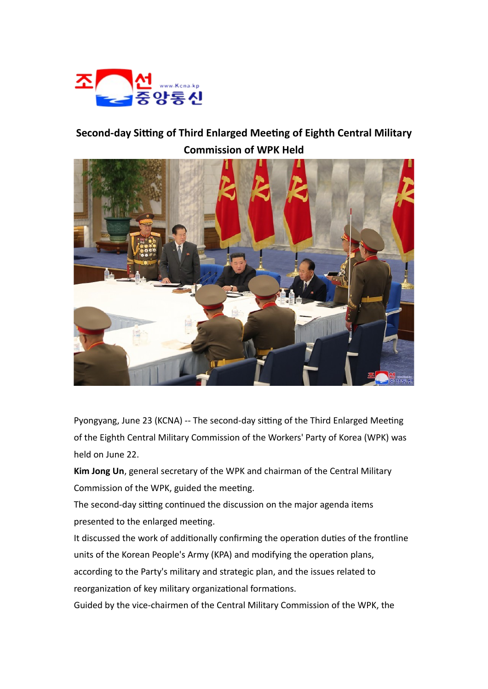

## **Second-day Sitting of Third Enlarged Meeting of Eighth Central Military Commission of WPK Held**



Pyongyang, June 23 (KCNA) -- The second-day sitting of the Third Enlarged Meeting of the Eighth Central Military Commission of the Workers' Party of Korea (WPK) was held on June 22.

**Kim Jong Un**, general secretary of the WPK and chairman of the Central Military Commission of the WPK, guided the meeting.

The second-day sitting continued the discussion on the major agenda items presented to the enlarged meeting.

It discussed the work of additionally confirming the operation duties of the frontline units of the Korean People's Army (KPA) and modifying the operation plans, according to the Party's military and strategic plan, and the issues related to reorganization of key military organizational formations. Guided by the vice-chairmen of the Central Military Commission of the WPK, the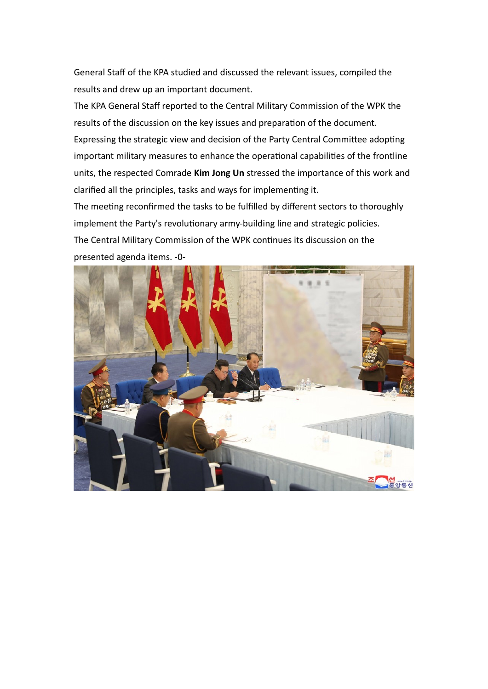General Staff of the KPA studied and discussed the relevant issues, compiled the results and drew up an important document.

The KPA General Staff reported to the Central Military Commission of the WPK the results of the discussion on the key issues and preparation of the document.

Expressing the strategic view and decision of the Party Central Committee adopting important military measures to enhance the operational capabilities of the frontline units, the respected Comrade **Kim Jong Un** stressed the importance of this work and clarified all the principles, tasks and ways for implementing it.

The meeting reconfirmed the tasks to be fulfilled by different sectors to thoroughly implement the Party's revolutionary army-building line and strategic policies. The Central Military Commission of the WPK continues its discussion on the presented agenda items. -0-

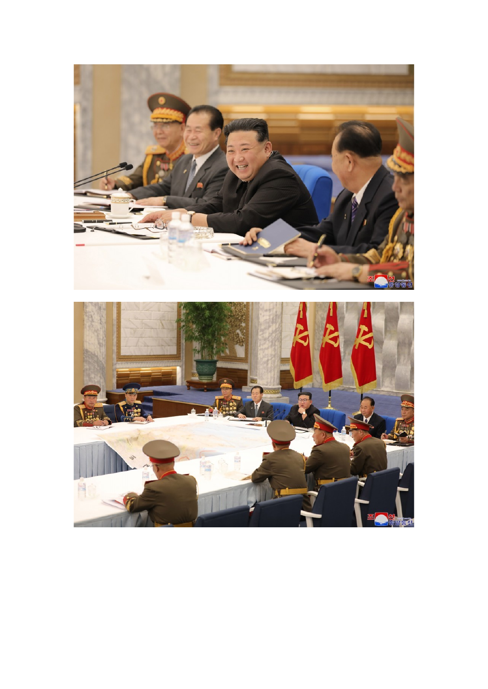